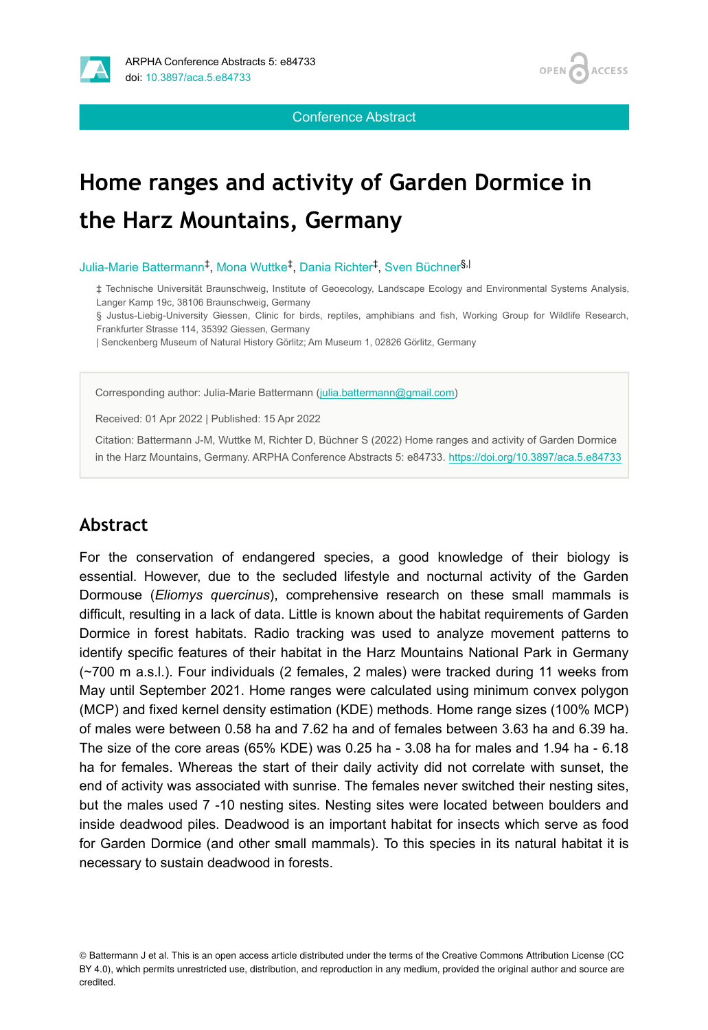

**ACCESS OPEN** 

Conference Abstract

# **Home ranges and activity of Garden Dormice in the Harz Mountains, Germany**

Julia-Marie Battermann<sup>‡</sup>, Mona Wuttke<sup>‡</sup>, Dania Richter<sup>‡</sup>, Sven Büchner<sup>§,|</sup>

‡ Technische Universität Braunschweig, Institute of Geoecology, Landscape Ecology and Environmental Systems Analysis, Langer Kamp 19c, 38106 Braunschweig, Germany

§ Justus-Liebig-University Giessen, Clinic for birds, reptiles, amphibians and fish, Working Group for Wildlife Research, Frankfurter Strasse 114, 35392 Giessen, Germany

| Senckenberg Museum of Natural History Görlitz; Am Museum 1, 02826 Görlitz, Germany

Corresponding author: Julia-Marie Battermann [\(julia.battermann@gmail.com\)](mailto:julia.battermann@gmail.com)

Received: 01 Apr 2022 | Published: 15 Apr 2022

Citation: Battermann J-M, Wuttke M, Richter D, Büchner S (2022) Home ranges and activity of Garden Dormice in the Harz Mountains, Germany. ARPHA Conference Abstracts 5: e84733.<https://doi.org/10.3897/aca.5.e84733>

#### **Abstract**

For the conservation of endangered species, a good knowledge of their biology is essential. However, due to the secluded lifestyle and nocturnal activity of the Garden Dormouse (*Eliomys quercinus*), comprehensive research on these small mammals is difficult, resulting in a lack of data. Little is known about the habitat requirements of Garden Dormice in forest habitats. Radio tracking was used to analyze movement patterns to identify specific features of their habitat in the Harz Mountains National Park in Germany (~700 m a.s.l.). Four individuals (2 females, 2 males) were tracked during 11 weeks from May until September 2021. Home ranges were calculated using minimum convex polygon (MCP) and fixed kernel density estimation (KDE) methods. Home range sizes (100% MCP) of males were between 0.58 ha and 7.62 ha and of females between 3.63 ha and 6.39 ha. The size of the core areas (65% KDE) was 0.25 ha - 3.08 ha for males and 1.94 ha - 6.18 ha for females. Whereas the start of their daily activity did not correlate with sunset, the end of activity was associated with sunrise. The females never switched their nesting sites, but the males used 7 -10 nesting sites. Nesting sites were located between boulders and inside deadwood piles. Deadwood is an important habitat for insects which serve as food for Garden Dormice (and other small mammals). To this species in its natural habitat it is necessary to sustain deadwood in forests.

<sup>©</sup> Battermann J et al. This is an open access article distributed under the terms of the Creative Commons Attribution License (CC BY 4.0), which permits unrestricted use, distribution, and reproduction in any medium, provided the original author and source are credited.